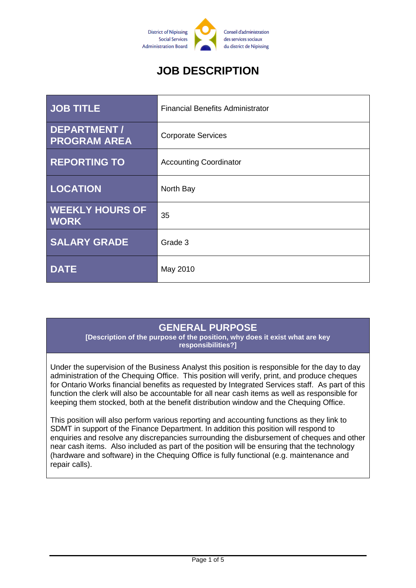

# **JOB DESCRIPTION**

| <b>JOB TITLE</b>                          | <b>Financial Benefits Administrator</b> |
|-------------------------------------------|-----------------------------------------|
| <b>DEPARTMENT/</b><br><b>PROGRAM AREA</b> | <b>Corporate Services</b>               |
| <b>REPORTING TO</b>                       | <b>Accounting Coordinator</b>           |
| <b>LOCATION</b>                           | North Bay                               |
| <b>WEEKLY HOURS OF</b><br><b>WORK</b>     | 35                                      |
| <b>SALARY GRADE</b>                       | Grade 3                                 |
| <b>DATE</b>                               | May 2010                                |

### **GENERAL PURPOSE**

**[Description of the purpose of the position, why does it exist what are key responsibilities?]**

Under the supervision of the Business Analyst this position is responsible for the day to day administration of the Chequing Office. This position will verify, print, and produce cheques for Ontario Works financial benefits as requested by Integrated Services staff. As part of this function the clerk will also be accountable for all near cash items as well as responsible for keeping them stocked, both at the benefit distribution window and the Chequing Office.

This position will also perform various reporting and accounting functions as they link to SDMT in support of the Finance Department. In addition this position will respond to enquiries and resolve any discrepancies surrounding the disbursement of cheques and other near cash items. Also included as part of the position will be ensuring that the technology (hardware and software) in the Chequing Office is fully functional (e.g. maintenance and repair calls).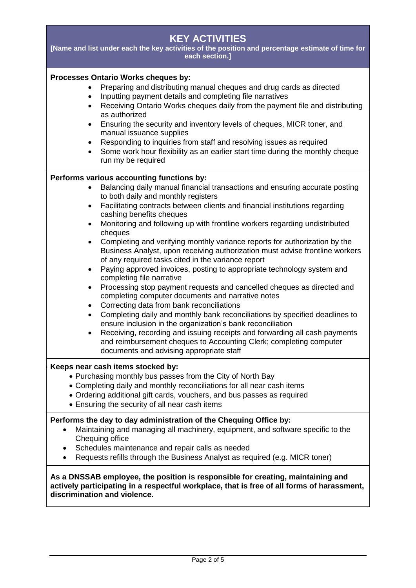| <b>KEY ACTIVITIES</b><br>[Name and list under each the key activities of the position and percentage estimate of time for<br>each section.]                                                                                                                                                                                                                                                                                                                                                                                                                                                                                                                                                                                                                                                                                                                                                                                                                                                                                                                                                                                                                                                                                                                                                                             |  |  |
|-------------------------------------------------------------------------------------------------------------------------------------------------------------------------------------------------------------------------------------------------------------------------------------------------------------------------------------------------------------------------------------------------------------------------------------------------------------------------------------------------------------------------------------------------------------------------------------------------------------------------------------------------------------------------------------------------------------------------------------------------------------------------------------------------------------------------------------------------------------------------------------------------------------------------------------------------------------------------------------------------------------------------------------------------------------------------------------------------------------------------------------------------------------------------------------------------------------------------------------------------------------------------------------------------------------------------|--|--|
| Processes Ontario Works cheques by:<br>Preparing and distributing manual cheques and drug cards as directed<br>Inputting payment details and completing file narratives<br>$\bullet$<br>Receiving Ontario Works cheques daily from the payment file and distributing<br>$\bullet$<br>as authorized<br>Ensuring the security and inventory levels of cheques, MICR toner, and<br>$\bullet$<br>manual issuance supplies<br>Responding to inquiries from staff and resolving issues as required<br>$\bullet$<br>Some work hour flexibility as an earlier start time during the monthly cheque<br>$\bullet$<br>run my be required                                                                                                                                                                                                                                                                                                                                                                                                                                                                                                                                                                                                                                                                                           |  |  |
| Performs various accounting functions by:<br>Balancing daily manual financial transactions and ensuring accurate posting<br>$\bullet$<br>to both daily and monthly registers<br>Facilitating contracts between clients and financial institutions regarding<br>$\bullet$<br>cashing benefits cheques<br>Monitoring and following up with frontline workers regarding undistributed<br>$\bullet$<br>cheques<br>Completing and verifying monthly variance reports for authorization by the<br>$\bullet$<br>Business Analyst, upon receiving authorization must advise frontline workers<br>of any required tasks cited in the variance report<br>Paying approved invoices, posting to appropriate technology system and<br>$\bullet$<br>completing file narrative<br>Processing stop payment requests and cancelled cheques as directed and<br>٠<br>completing computer documents and narrative notes<br>Correcting data from bank reconciliations<br>$\bullet$<br>Completing daily and monthly bank reconciliations by specified deadlines to<br>$\bullet$<br>ensure inclusion in the organization's bank reconciliation<br>Receiving, recording and issuing receipts and forwarding all cash payments<br>and reimbursement cheques to Accounting Clerk; completing computer<br>documents and advising appropriate staff |  |  |
| Keeps near cash items stocked by:<br>• Purchasing monthly bus passes from the City of North Bay<br>• Completing daily and monthly reconciliations for all near cash items<br>• Ordering additional gift cards, vouchers, and bus passes as required<br>• Ensuring the security of all near cash items<br>Performs the day to day administration of the Chequing Office by:<br>Maintaining and managing all machinery, equipment, and software specific to the<br>Chequing office<br>Schedules maintenance and repair calls as needed<br>Requests refills through the Business Analyst as required (e.g. MICR toner)                                                                                                                                                                                                                                                                                                                                                                                                                                                                                                                                                                                                                                                                                                     |  |  |
| As a DNSSAB employee, the position is responsible for creating, maintaining and<br>actively participating in a respectful workplace, that is free of all forms of harassment,<br>discrimination and violence.                                                                                                                                                                                                                                                                                                                                                                                                                                                                                                                                                                                                                                                                                                                                                                                                                                                                                                                                                                                                                                                                                                           |  |  |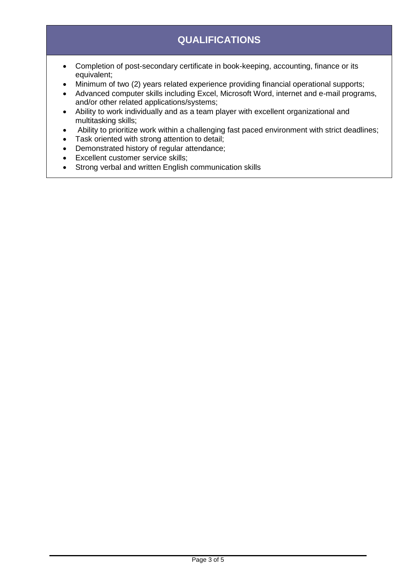# **QUALIFICATIONS**

- Completion of post-secondary certificate in book-keeping, accounting, finance or its equivalent;
- Minimum of two (2) years related experience providing financial operational supports;
- Advanced computer skills including Excel, Microsoft Word, internet and e-mail programs, and/or other related applications/systems;
- Ability to work individually and as a team player with excellent organizational and multitasking skills;
- Ability to prioritize work within a challenging fast paced environment with strict deadlines;
- Task oriented with strong attention to detail;
- Demonstrated history of regular attendance;
- Excellent customer service skills;
- Strong verbal and written English communication skills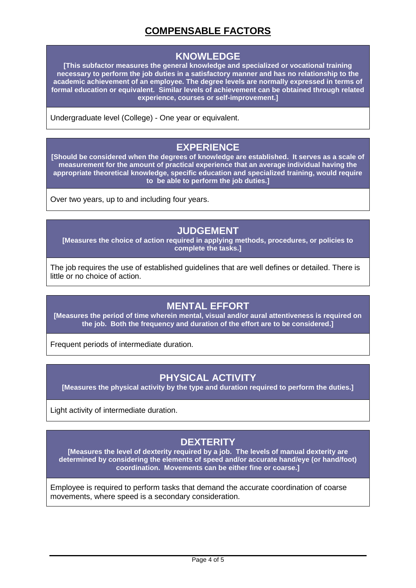## **COMPENSABLE FACTORS**

#### **KNOWLEDGE**

**[This subfactor measures the general knowledge and specialized or vocational training necessary to perform the job duties in a satisfactory manner and has no relationship to the academic achievement of an employee. The degree levels are normally expressed in terms of formal education or equivalent. Similar levels of achievement can be obtained through related experience, courses or self-improvement.]**

Undergraduate level (College) - One year or equivalent.

#### **EXPERIENCE**

**[Should be considered when the degrees of knowledge are established. It serves as a scale of measurement for the amount of practical experience that an average individual having the appropriate theoretical knowledge, specific education and specialized training, would require to be able to perform the job duties.]**

Over two years, up to and including four years.

#### **JUDGEMENT**

**[Measures the choice of action required in applying methods, procedures, or policies to complete the tasks.]**

The job requires the use of established guidelines that are well defines or detailed. There is little or no choice of action.

### **MENTAL EFFORT**

**[Measures the period of time wherein mental, visual and/or aural attentiveness is required on the job. Both the frequency and duration of the effort are to be considered.]**

Frequent periods of intermediate duration.

### **PHYSICAL ACTIVITY**

**[Measures the physical activity by the type and duration required to perform the duties.]**

Light activity of intermediate duration.

## **DEXTERITY**

**[Measures the level of dexterity required by a job. The levels of manual dexterity are determined by considering the elements of speed and/or accurate hand/eye (or hand/foot) coordination. Movements can be either fine or coarse.]**

Employee is required to perform tasks that demand the accurate coordination of coarse movements, where speed is a secondary consideration.